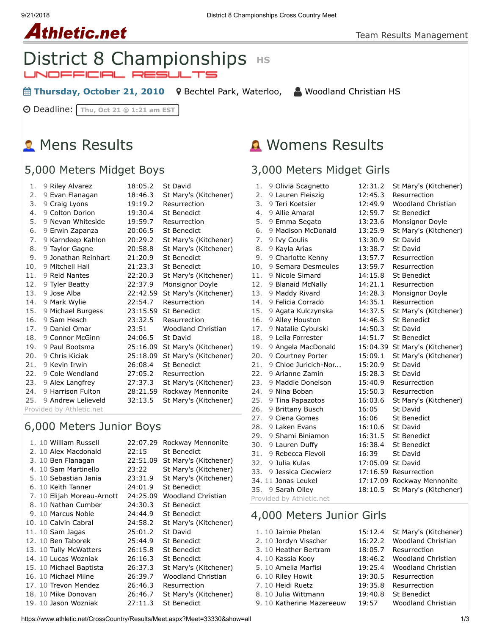#### 9/21/2018 District 8 Championships Cross Country Meet

# **Athletic.net**

## **District 8 Championships HS** JNOFFICIAL RESUL

**■ Thursday, October 21, 2010** 9 [Bechtel Park, Waterloo,](https://maps.google.com/maps?saddr=&daddr=Bechtel%20Park,%20185%20Bridge%20St.%20West,%20Waterloo%20N2K%201K8&hl=en) △ [Woodland Christian HS](https://www.athletic.net/CrossCountry/School.aspx?SchoolID=27436)

Deadline: **Thu, Oct 21 @ 1:21 am EST**

## **2** Mens Results

## 5,000 Meters Midget Boys

| 1.                       | 9 Riley Alvarez     | 18:05.2  | <b>St David</b>       |  |
|--------------------------|---------------------|----------|-----------------------|--|
| 2.                       | 9 Evan Flanagan     | 18:46.3  | St Mary's (Kitchener) |  |
| 3.                       | 9 Craig Lyons       | 19:19.2  | Resurrection          |  |
| 4.                       | 9 Colton Dorion     | 19:30.4  | <b>St Benedict</b>    |  |
| 5.                       | 9 Nevan Whiteside   | 19:59.7  | Resurrection          |  |
| 6.                       | 9 Erwin Zapanza     | 20:06.5  | <b>St Benedict</b>    |  |
| 7.                       | 9 Karndeep Kahlon   | 20:29.2  | St Mary's (Kitchener) |  |
| 8.                       | 9 Taylor Gagne      | 20:58.8  | St Mary's (Kitchener) |  |
| 9.                       | 9 Jonathan Reinhart | 21:20.9  | <b>St Benedict</b>    |  |
| 10.                      | 9 Mitchell Hall     | 21:23.3  | <b>St Benedict</b>    |  |
| 11.                      | 9 Reid Nantes       | 22:20.3  | St Mary's (Kitchener) |  |
| 12.                      | 9 Tyler Beatty      | 22:37.9  | Monsignor Doyle       |  |
| 13.                      | 9 Jose Alba         | 22:42.59 | St Mary's (Kitchener) |  |
| 14.                      | 9 Mark Wylie        | 22:54.7  | Resurrection          |  |
| 15.                      | 9 Michael Burgess   | 23:15.59 | <b>St Benedict</b>    |  |
| 16.                      | 9 Sam Hesch         | 23:32.5  | Resurrection          |  |
| 17.                      | 9 Daniel Omar       | 23:51    | Woodland Christian    |  |
| 18.                      | 9 Connor McGinn     | 24:06.5  | St David              |  |
| 19.                      | 9 Paul Bootsma      | 25:16.09 | St Mary's (Kitchener) |  |
| 20.                      | 9 Chris Kiciak      | 25:18.09 | St Mary's (Kitchener) |  |
| 21.                      | 9 Kevin Irwin       | 26:08.4  | <b>St Benedict</b>    |  |
| 22.                      | 9 Cole Wendland     | 27:05.2  | Resurrection          |  |
| 23.                      | 9 Alex Langfrey     | 27:37.3  | St Mary's (Kitchener) |  |
| 24.                      | 9 Harrison Fulton   | 28:21.59 | Rockway Mennonite     |  |
| 25.                      | 9 Andrew Lelieveld  | 32:13.5  | St Mary's (Kitchener) |  |
| Provided by Athletic.net |                     |          |                       |  |

## 6,000 Meters Junior Boys

|  | 1. 10 William Russell      | 22:07.29 | Rockway Mennonite         |
|--|----------------------------|----------|---------------------------|
|  | 2. 10 Alex Macdonald       | 22:15    | St Benedict               |
|  | 3. 10 Ben Flanagan         | 22:51.09 | St Mary's (Kitchener)     |
|  | 4. 10 Sam Martinello       | 23:22    | St Mary's (Kitchener)     |
|  | 5. 10 Sebastian Jania      | 23:31.9  | St Mary's (Kitchener)     |
|  | 6. 10 Keith Tanner         | 24:01.9  | St Benedict               |
|  | 7. 10 Elijah Moreau-Arnott | 24:25.09 | Woodland Christian        |
|  | 8. 10 Nathan Cumber        | 24:30.3  | St Benedict               |
|  | 9. 10 Marcus Noble         | 24:44.9  | St Benedict               |
|  | 10. 10 Calvin Cabral       | 24:58.2  | St Mary's (Kitchener)     |
|  | 11. 10 Sam Jagas           | 25:01.2  | St David                  |
|  | 12. 10 Ben Taborek         | 25:44.9  | St Benedict               |
|  | 13. 10 Tully McWatters     | 26:15.8  | St Benedict               |
|  | 14. 10 Lucas Wozniak       | 26:16.3  | St Benedict               |
|  | 15. 10 Michael Baptista    | 26:37.3  | St Mary's (Kitchener)     |
|  | 16. 10 Michael Milne       | 26:39.7  | <b>Woodland Christian</b> |
|  | 17. 10 Trevon Mendez       | 26:46.3  | Resurrection              |
|  | 18. 10 Mike Donovan        | 26:46.7  | St Mary's (Kitchener)     |
|  | 19. 10 Jason Wozniak       | 27:11.3  | <b>St Benedict</b>        |

## Womens Results

## 3,000 Meters Midget Girls

| 1.  | 9 Olivia Scagnetto   | 12:31.2           | St Mary's (Kitchener)          |
|-----|----------------------|-------------------|--------------------------------|
| 2.  | 9 Lauren Fleiszig    | 12:45.3           | Resurrection                   |
| 3.  | 9 Teri Koetsier      | 12:49.9           | <b>Woodland Christian</b>      |
| 4.  | 9 Allie Amaral       | 12:59.7           | St Benedict                    |
| 5.  | 9 Emma Segato        | 13:23.6           | Monsignor Doyle                |
| 6.  | 9 Madison McDonald   | 13:25.9           | St Mary's (Kitchener)          |
| 7.  | 9 Ivy Coulis         | 13:30.9           | St David                       |
| 8.  | 9 Kayla Arias        | 13:38.7           | <b>St David</b>                |
| 9.  | 9 Charlotte Kenny    | 13:57.7           | Resurrection                   |
| 10. | 9 Semara Desmeules   | 13:59.7           | Resurrection                   |
| 11. | 9 Nicole Simard      | 14:15.8           | <b>St Benedict</b>             |
| 12. | 9 Blanaid McNally    | 14:21.1           | Resurrection                   |
| 13. | 9 Maddy Rivard       | 14:28.3           | Monsignor Doyle                |
| 14. | 9 Felicia Corrado    | 14:35.1           | Resurrection                   |
| 15. | 9 Agata Kulczynska   | 14:37.5           | St Mary's (Kitchener)          |
| 16. | 9 Alley Houston      | 14:46.3           | <b>St Benedict</b>             |
| 17. | 9 Natalie Cybulski   | 14:50.3           | St David                       |
| 18. | 9 Leila Forrester    | 14:51.7           | <b>St Benedict</b>             |
| 19. | 9 Angela MacDonald   |                   | 15:04.39 St Mary's (Kitchener) |
| 20. | 9 Courtney Porter    | 15:09.1           | St Mary's (Kitchener)          |
| 21. | 9 Chloe Juricich-Nor | 15:20.9           | St David                       |
| 22. | 9 Arianne Zamin      | 15:28.3           | St David                       |
| 23. | 9 Maddie Donelson    | 15:40.9           | Resurrection                   |
| 24. | 9 Nina Boban         | 15:50.3           | Resurrection                   |
| 25. | 9 Tina Papazotos     | 16:03.6           | St Mary's (Kitchener)          |
| 26. | 9 Brittany Busch     | 16:05             | <b>St David</b>                |
| 27. | 9 Ciena Gomes        | 16:06             | <b>St Benedict</b>             |
| 28. | 9 Laken Evans        | 16:10.6           | St David                       |
| 29. | 9 Shami Biniamon     | 16:31.5           | <b>St Benedict</b>             |
| 30. | 9 Lauren Duffy       | 16:38.4           | <b>St Benedict</b>             |
| 31. | 9 Rebecca Fievoli    | 16:39             | <b>St David</b>                |
| 32. | 9 Julia Kulas        | 17:05.09 St David |                                |
| 33. | 9 Jessica Ciecwierz  |                   | 17:16.59 Resurrection          |
|     | 34. 11 Jonas Leukel  |                   | 17:17.09 Rockway Mennonite     |
| 35. | 9 Sarah Olley        | 18:10.5           | St Mary's (Kitchener)          |

Provided by Athletic.net

## 4,000 Meters Junior Girls

1. 10 [Jaimie Phelan](https://www.athletic.net/CrossCountry/Athlete.aspx?AID=1553425#tTNaN) [15:12.4](https://www.athletic.net/result/kVFOPlCXmrL) [St Mary's \(Kitchener\)](https://www.athletic.net/CrossCountry/School.aspx?SchoolID=27485) 2. 10 [Jordyn Visscher](https://www.athletic.net/CrossCountry/Athlete.aspx?AID=1482250#tTNaN) [16:22.2](https://www.athletic.net/result/81F13nFOOML) [Woodland Christian](https://www.athletic.net/CrossCountry/School.aspx?SchoolID=27436) 3. 10 [Heather Bertram](https://www.athletic.net/CrossCountry/Athlete.aspx?AID=1553338#tTNaN) [18:05.7](https://www.athletic.net/result/2qFvQjH3kPN) [Resurrection](https://www.athletic.net/CrossCountry/School.aspx?SchoolID=27483) 4. 10 [Kassia Kooy](https://www.athletic.net/CrossCountry/Athlete.aspx?AID=1524432#tTNaN) [18:46.2](https://www.athletic.net/result/wyFPVvToXWV) [Woodland Christian](https://www.athletic.net/CrossCountry/School.aspx?SchoolID=27436) 5. 10 [Amelia Marfisi](https://www.athletic.net/CrossCountry/Athlete.aspx?AID=2601204#tTNaN) [19:25.4](https://www.athletic.net/result/81F13nFWwa5) [Woodland Christian](https://www.athletic.net/CrossCountry/School.aspx?SchoolID=27436) 6. 10 [Riley Howit](https://www.athletic.net/CrossCountry/Athlete.aspx?AID=2603488#tTNaN) [19:30.5](https://www.athletic.net/result/1QF6j5sR1aD) [Resurrection](https://www.athletic.net/CrossCountry/School.aspx?SchoolID=27483) 7. 10 [Heidi Ruetz](https://www.athletic.net/CrossCountry/Athlete.aspx?AID=1553339#tTNaN) [19:35.8](https://www.athletic.net/result/RxF4v1SPjA2) [Resurrection](https://www.athletic.net/CrossCountry/School.aspx?SchoolID=27483) 8. 10 [Julia Wittmann](https://www.athletic.net/CrossCountry/Athlete.aspx?AID=1553375#tTNaN) [19:40.8](https://www.athletic.net/result/MDFE1BHjMPn) [St Benedict](https://www.athletic.net/CrossCountry/School.aspx?SchoolID=27484) 9. 10 [Katherine Mazereeuw](https://www.athletic.net/CrossCountry/Athlete.aspx?AID=2606344#tTNaN) [19:57](https://www.athletic.net/result/1QF6j5sROnN) [Woodland Christian](https://www.athletic.net/CrossCountry/School.aspx?SchoolID=27436)

https://www.athletic.net/CrossCountry/Results/Meet.aspx?Meet=33330&show=all 1/3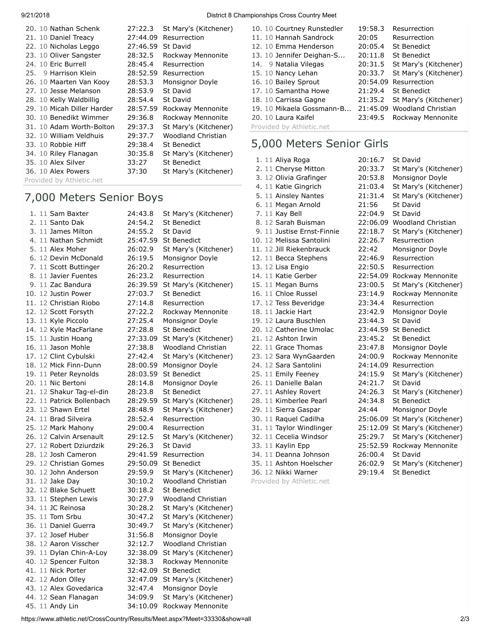| 9/21/2018            |                               | District 8 Championships Cross Country Meet |
|----------------------|-------------------------------|---------------------------------------------|
| 20. 10 Nathan Schenk | 27:22.3 St Mary's (Kitchener) | 10. 10 Courtney Runstedle                   |

| 20. 10 Nathan Schenk       | 27:22.3  | St Mary's (Kitchener)     |
|----------------------------|----------|---------------------------|
| 21. 10 Daniel Treacy       | 27:44.09 | Resurrection              |
| 22. 10 Nicholas Leggo      | 27:46.59 | St David                  |
| 23. 10 Oliver Sangster     | 28:32.5  | Rockway Mennonite         |
| 24. 10 Eric Burrell        | 28:45.4  | Resurrection              |
| 25. 9 Harrison Klein       | 28:52.59 | Resurrection              |
| 26. 10 Maarten Van Kooy    | 28:53.3  | Monsignor Doyle           |
| 27. 10 Jesse Melanson      | 28:53.9  | St David                  |
| 28. 10 Kelly Waldbillig    | 28:54.4  | St David                  |
| 29. 10 Micah Diller Harder | 28:57.59 | Rockway Mennonite         |
| 30. 10 Benedikt Wimmer     | 29:36.8  | Rockway Mennonite         |
| 31. 10 Adam Worth-Bolton   | 29:37.3  | St Mary's (Kitchener)     |
| 32. 10 William Veldhuis    | 29:37.7  | <b>Woodland Christian</b> |
| 33. 10 Robbie Hiff         | 29:38.4  | St Benedict               |
| 34. 10 Riley Flanagan      | 30:35.8  | St Mary's (Kitchener)     |
| 35. 10 Alex Silver         | 33:27    | St Benedict               |
| 36. 10 Alex Powers         | 37:30    | St Mary's (Kitchener)     |
| Provided by Athletic.net   |          |                           |

#### 7,000 Meters Senior Boys

| 1. 11 Sam Baxter          | 24:43.8  | St Mary's (Kitchener)     |
|---------------------------|----------|---------------------------|
| 2. 11 Santo Dak           | 24:54.2  | <b>St Benedict</b>        |
| 3. 11 James Milton        | 24:55.2  | St David                  |
| 4. 11 Nathan Schmidt      | 25:47.59 | <b>St Benedict</b>        |
| 5. 11 Alex Moher          | 26:02.9  | St Mary's (Kitchener)     |
| 6. 12 Devin McDonald      | 26:19.5  | Monsignor Doyle           |
| 7. 11 Scott Buttinger     | 26:20.2  | Resurrection              |
| 8. 11 Javier Fuentes      | 26:23.2  | Resurrection              |
| 9. 11 Zac Bandura         | 26:39.59 | St Mary's (Kitchener)     |
| 10. 12 Justin Power       | 27:03.7  | <b>St Benedict</b>        |
| 11. 12 Christian Riobo    | 27:14.8  | Resurrection              |
| 12. 12 Scott Forsyth      | 27:22.2  | Rockway Mennonite         |
| 13. 11 Kyle Piccolo       | 27:25.4  | Monsignor Doyle           |
| 14. 12 Kyle MacFarlane    | 27:28.8  | <b>St Benedict</b>        |
| 15. 11 Justin Hoang       | 27:33.09 | St Mary's (Kitchener)     |
| 16. 11 Jason Mohle        | 27:38.8  | <b>Woodland Christian</b> |
| 17. 12 Clint Cybulski     | 27:42.4  | St Mary's (Kitchener)     |
| 18. 12 Mick Finn-Dunn     | 28:00.59 | Monsignor Doyle           |
| 19. 11 Peter Reynolds     | 28:03.59 | <b>St Benedict</b>        |
| 20. 11 Nic Bertoni        | 28:14.8  | Monsignor Doyle           |
| 21. 12 Shakur Tag-el-din  | 28:23.8  | <b>St Benedict</b>        |
| 22. 11 Patrick Bollenbach | 28:29.59 | St Mary's (Kitchener)     |
| 23. 12 Shawn Ertel        | 28:48.9  | St Mary's (Kitchener)     |
| 24. 11 Brad Silveira      | 28:52.4  | Resurrection              |
| 25. 12 Mark Mahony        | 29:00.4  | Resurrection              |
| 26. 12 Calvin Arsenault   | 29:12.5  | St Mary's (Kitchener)     |
| 27. 12 Robert Dziurdzik   | 29:26.3  | St David                  |
| 28. 12 Josh Cameron       | 29:41.59 | Resurrection              |
| 29. 12 Christian Gomes    | 29:50.09 | <b>St Benedict</b>        |
| 30. 12 John Anderson      | 29:59.9  | St Mary's (Kitchener)     |
| 31. 12 Jake Day           | 30:10.2  | Woodland Christian        |
| 32. 12 Blake Schuett      | 30:18.2  | <b>St Benedict</b>        |
| 33. 11 Stephen Lewis      | 30:27.9  | <b>Woodland Christian</b> |
| 34. 11 JC Reinosa         | 30:28.2  | St Mary's (Kitchener)     |
| 35. 11 Tom Srbu           | 30:47.2  | St Mary's (Kitchener)     |
| 36. 11 Daniel Guerra      | 30:49.7  | St Mary's (Kitchener)     |
| 37. 12 Josef Huber        | 31:56.8  | Monsignor Doyle           |
| 38. 12 Aaron Visscher     | 32:12.7  | Woodland Christian        |
| 39. 11 Dylan Chin-A-Loy   | 32:38.09 | St Mary's (Kitchener)     |
| 40. 12 Spencer Fulton     | 32:38.3  | Rockway Mennonite         |
| 41. 11 Nick Porter        | 32:42.09 | <b>St Benedict</b>        |
| 42. 12 Adon Olley         | 32:47.09 | St Mary's (Kitchener)     |
| 43. 12 Alex Govedarica    | 32:47.4  | Monsignor Doyle           |
| 44. 12 Sean Flanagan      | 34:09.9  | St Mary's (Kitchener)     |
| 45. 11 Andy Lin           | 34:10.09 | Rockway Mennonite         |

| 10. 10 Courtney Runstedler | 19:58.3  | Resurrection          |
|----------------------------|----------|-----------------------|
| 11. 10 Hannah Sandrock     | 20:05    | Resurrection          |
| 12. 10 Emma Henderson      | 20:05.4  | <b>St Benedict</b>    |
| 13. 10 Jennifer Deighan-S  | 20:11.8  | <b>St Benedict</b>    |
| 14. 9 Natalia Vilegas      | 20:31.5  | St Mary's (Kitchener) |
| 15. 10 Nancy Lehan         | 20:33.7  | St Mary's (Kitchener) |
| 16. 10 Bailey Sprout       |          | 20:54.09 Resurrection |
| 17. 10 Samantha Howe       | 21:29.4  | St Benedict           |
| 18. 10 Carrissa Gagne      | 21:35.2  | St Mary's (Kitchener) |
| 19. 10 Mikaela Gossmann-B  | 21:45.09 | Woodland Christian    |
| 20. 10 Laura Kaifel        | 23:49.5  | Rockway Mennonite     |
| Provided by Athletic.net   |          |                       |

## 5,000 Meters Senior Girls

| 1. 11 Aliya Roga           | 20:16.7  | St David                  |
|----------------------------|----------|---------------------------|
| 2. 11 Cheryse Mitton       | 20:33.7  | St Mary's (Kitchener)     |
| 3. 12 Olivia Grafinger     | 20:53.8  | Monsignor Doyle           |
| 4. 11 Katie Gingrich       | 21:03.4  | St Mary's (Kitchener)     |
| 5. 11 Ainsley Nantes       | 21:31.4  | St Mary's (Kitchener)     |
| 6. 11 Megan Arnold         | 21:56    | St David                  |
| 7. 11 Kay Bell             | 22:04.9  | St David                  |
| 8. 12 Sarah Buisman        | 22:06.09 | <b>Woodland Christian</b> |
| 9. 11 Justise Ernst-Finnie | 22:18.7  | St Mary's (Kitchener)     |
| 10. 12 Melissa Santolini   | 22:26.7  | Resurrection              |
| 11. 12 Jill Riekenbrauck   | 22:42    | Monsignor Doyle           |
| 12. 11 Becca Stephens      | 22:46.9  | Resurrection              |
| 13. 12 Lisa Engio          | 22:50.5  | Resurrection              |
| 14. 11 Katie Gerber        | 22:54.09 | Rockway Mennonite         |
| 15. 11 Megan Burns         | 23:00.5  | St Mary's (Kitchener)     |
| 16. 11 Chloe Russel        | 23:14.9  | Rockway Mennonite         |
| 17. 12 Tess Beveridge      | 23:34.4  | Resurrection              |
| 18. 11 Jackie Hart         | 23:42.9  | Monsignor Doyle           |
| 19. 12 Laura Buschlen      | 23:44.3  | St David                  |
| 20. 12 Catherine Umolac    | 23:44.59 | St Benedict               |
| 21. 12 Ashton Irwin        | 23:45.2  | <b>St Benedict</b>        |
| 22. 11 Grace Thomas        | 23:47.8  | Monsignor Doyle           |
| 23. 12 Sara WynGaarden     | 24:00.9  | Rockway Mennonite         |
| 24. 12 Sara Santolini      | 24:14.09 | Resurrection              |
| 25. 11 Emily Feeney        | 24:15.9  | St Mary's (Kitchener)     |
| 26. 11 Danielle Balan      | 24:21.7  | St David                  |
| 27. 11 Ashley Rovert       | 24:26.3  | St Mary's (Kitchener)     |
| 28. 11 Kimberlee Pearl     | 24:34.8  | St Benedict               |
| 29. 11 Sierra Gaspar       | 24:44    | Monsignor Doyle           |
| 30. 11 Raquel Cadilha      | 25:06.09 | St Mary's (Kitchener)     |
| 31. 11 Taylor Windlinger   | 25:12.09 | St Mary's (Kitchener)     |
| 32. 11 Cecelia Windsor     | 25:29.7  | St Mary's (Kitchener)     |
| 33. 11 Kaylin Epp          | 25:52.59 | Rockway Mennonite         |
| 34. 11 Deanna Johnson      | 26:00.4  | St David                  |
| 35. 11 Ashton Hoelscher    | 26:02.9  | St Mary's (Kitchener)     |
| 36. 12 Nikki Warner        | 29:19.4  | <b>St Benedict</b>        |

Provided by Athletic.net